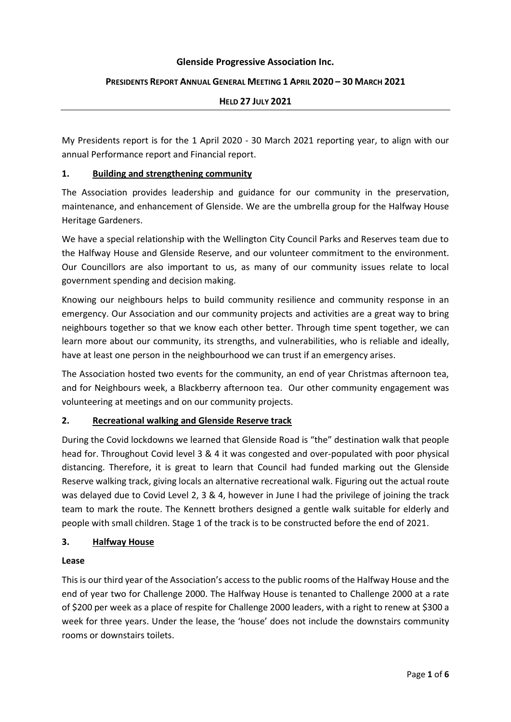#### **Glenside Progressive Association Inc.**

# **PRESIDENTS REPORT ANNUAL GENERAL MEETING 1 APRIL 2020 – 30 MARCH 2021**

#### **HELD 27 JULY 2021**

My Presidents report is for the 1 April 2020 - 30 March 2021 reporting year, to align with our annual Performance report and Financial report.

#### **1. Building and strengthening community**

The Association provides leadership and guidance for our community in the preservation, maintenance, and enhancement of Glenside. We are the umbrella group for the Halfway House Heritage Gardeners.

We have a special relationship with the Wellington City Council Parks and Reserves team due to the Halfway House and Glenside Reserve, and our volunteer commitment to the environment. Our Councillors are also important to us, as many of our community issues relate to local government spending and decision making.

Knowing our neighbours helps to build community resilience and community response in an emergency. Our Association and our community projects and activities are a great way to bring neighbours together so that we know each other better. Through time spent together, we can learn more about our community, its strengths, and vulnerabilities, who is reliable and ideally, have at least one person in the neighbourhood we can trust if an emergency arises.

The Association hosted two events for the community, an end of year Christmas afternoon tea, and for Neighbours week, a Blackberry afternoon tea. Our other community engagement was volunteering at meetings and on our community projects.

# **2. Recreational walking and Glenside Reserve track**

During the Covid lockdowns we learned that Glenside Road is "the" destination walk that people head for. Throughout Covid level 3 & 4 it was congested and over-populated with poor physical distancing. Therefore, it is great to learn that Council had funded marking out the Glenside Reserve walking track, giving locals an alternative recreational walk. Figuring out the actual route was delayed due to Covid Level 2, 3 & 4, however in June I had the privilege of joining the track team to mark the route. The Kennett brothers designed a gentle walk suitable for elderly and people with small children. Stage 1 of the track is to be constructed before the end of 2021.

# **3. Halfway House**

#### **Lease**

This is our third year of the Association's access to the public rooms of the Halfway House and the end of year two for Challenge 2000. The Halfway House is tenanted to Challenge 2000 at a rate of \$200 per week as a place of respite for Challenge 2000 leaders, with a right to renew at \$300 a week for three years. Under the lease, the 'house' does not include the downstairs community rooms or downstairs toilets.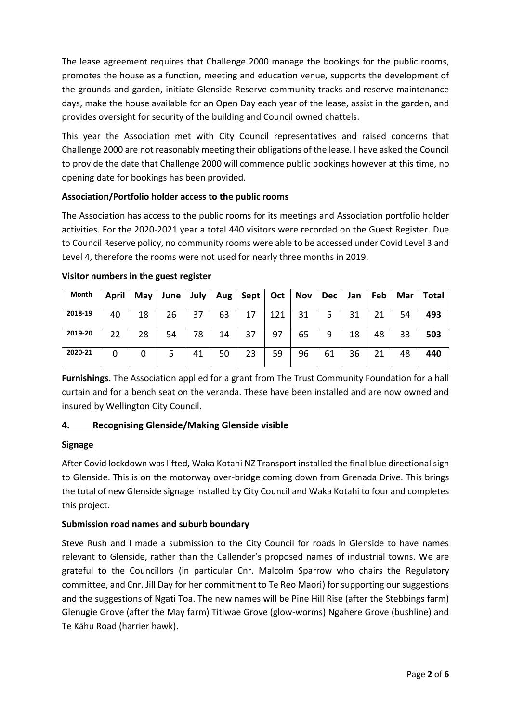The lease agreement requires that Challenge 2000 manage the bookings for the public rooms, promotes the house as a function, meeting and education venue, supports the development of the grounds and garden, initiate Glenside Reserve community tracks and reserve maintenance days, make the house available for an Open Day each year of the lease, assist in the garden, and provides oversight for security of the building and Council owned chattels.

This year the Association met with City Council representatives and raised concerns that Challenge 2000 are not reasonably meeting their obligations of the lease. I have asked the Council to provide the date that Challenge 2000 will commence public bookings however at this time, no opening date for bookings has been provided.

# **Association/Portfolio holder access to the public rooms**

The Association has access to the public rooms for its meetings and Association portfolio holder activities. For the 2020-2021 year a total 440 visitors were recorded on the Guest Register. Due to Council Reserve policy, no community rooms were able to be accessed under Covid Level 3 and Level 4, therefore the rooms were not used for nearly three months in 2019.

| Month   | April | May | June | July | Aug | Sept | Oct | <b>Nov</b> | <b>Dec</b> | Jan | Feb | Mar | Total |
|---------|-------|-----|------|------|-----|------|-----|------------|------------|-----|-----|-----|-------|
| 2018-19 | 40    | 18  | 26   | 37   | 63  | 17   | 121 | 31         | 5          | 31  | 21  | 54  | 493   |
| 2019-20 | 22    | 28  | 54   | 78   | 14  | 37   | 97  | 65         | 9          | 18  | 48  | 33  | 503   |
| 2020-21 | 0     |     |      | 41   | 50  | 23   | 59  | 96         | 61         | 36  | 21  | 48  | 440   |

#### **Visitor numbers in the guest register**

**Furnishings.** The Association applied for a grant from The Trust Community Foundation for a hall curtain and for a bench seat on the veranda. These have been installed and are now owned and insured by Wellington City Council.

# **4. Recognising Glenside/Making Glenside visible**

# **Signage**

After Covid lockdown was lifted, Waka Kotahi NZ Transport installed the final blue directional sign to Glenside. This is on the motorway over-bridge coming down from Grenada Drive. This brings the total of new Glenside signage installed by City Council and Waka Kotahi to four and completes this project.

# **Submission road names and suburb boundary**

Steve Rush and I made a submission to the City Council for roads in Glenside to have names relevant to Glenside, rather than the Callender's proposed names of industrial towns. We are grateful to the Councillors (in particular Cnr. Malcolm Sparrow who chairs the Regulatory committee, and Cnr. Jill Day for her commitment to Te Reo Maori) for supporting our suggestions and the suggestions of Ngati Toa. The new names will be Pine Hill Rise (after the Stebbings farm) Glenugie Grove (after the May farm) Titiwae Grove (glow-worms) Ngahere Grove (bushline) and Te Kāhu Road (harrier hawk).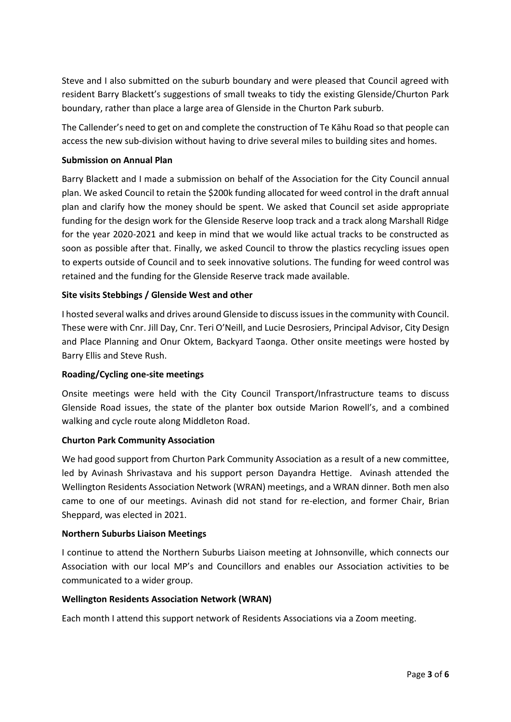Steve and I also submitted on the suburb boundary and were pleased that Council agreed with resident Barry Blackett's suggestions of small tweaks to tidy the existing Glenside/Churton Park boundary, rather than place a large area of Glenside in the Churton Park suburb.

The Callender's need to get on and complete the construction of Te Kāhu Road so that people can access the new sub-division without having to drive several miles to building sites and homes.

# **Submission on Annual Plan**

Barry Blackett and I made a submission on behalf of the Association for the City Council annual plan. We asked Council to retain the \$200k funding allocated for weed control in the draft annual plan and clarify how the money should be spent. We asked that Council set aside appropriate funding for the design work for the Glenside Reserve loop track and a track along Marshall Ridge for the year 2020-2021 and keep in mind that we would like actual tracks to be constructed as soon as possible after that. Finally, we asked Council to throw the plastics recycling issues open to experts outside of Council and to seek innovative solutions. The funding for weed control was retained and the funding for the Glenside Reserve track made available.

# **Site visits Stebbings / Glenside West and other**

I hosted several walks and drives around Glenside to discuss issues in the community with Council. These were with Cnr. Jill Day, Cnr. Teri O'Neill, and Lucie Desrosiers, Principal Advisor, City Design and Place Planning and Onur Oktem, Backyard Taonga. Other onsite meetings were hosted by Barry Ellis and Steve Rush.

# **Roading/Cycling one-site meetings**

Onsite meetings were held with the City Council Transport/Infrastructure teams to discuss Glenside Road issues, the state of the planter box outside Marion Rowell's, and a combined walking and cycle route along Middleton Road.

# **Churton Park Community Association**

We had good support from Churton Park Community Association as a result of a new committee, led by Avinash Shrivastava and his support person Dayandra Hettige. Avinash attended the Wellington Residents Association Network (WRAN) meetings, and a WRAN dinner. Both men also came to one of our meetings. Avinash did not stand for re-election, and former Chair, Brian Sheppard, was elected in 2021.

# **Northern Suburbs Liaison Meetings**

I continue to attend the Northern Suburbs Liaison meeting at Johnsonville, which connects our Association with our local MP's and Councillors and enables our Association activities to be communicated to a wider group.

# **Wellington Residents Association Network (WRAN)**

Each month I attend this support network of Residents Associations via a Zoom meeting.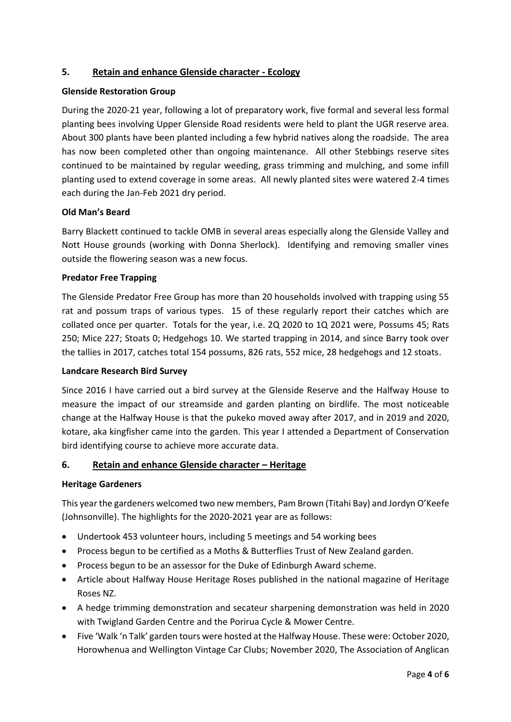# **5. Retain and enhance Glenside character - Ecology**

# **Glenside Restoration Group**

During the 2020-21 year, following a lot of preparatory work, five formal and several less formal planting bees involving Upper Glenside Road residents were held to plant the UGR reserve area. About 300 plants have been planted including a few hybrid natives along the roadside. The area has now been completed other than ongoing maintenance. All other Stebbings reserve sites continued to be maintained by regular weeding, grass trimming and mulching, and some infill planting used to extend coverage in some areas. All newly planted sites were watered 2-4 times each during the Jan-Feb 2021 dry period.

# **Old Man's Beard**

Barry Blackett continued to tackle OMB in several areas especially along the Glenside Valley and Nott House grounds (working with Donna Sherlock). Identifying and removing smaller vines outside the flowering season was a new focus.

#### **Predator Free Trapping**

The Glenside Predator Free Group has more than 20 households involved with trapping using 55 rat and possum traps of various types. 15 of these regularly report their catches which are collated once per quarter. Totals for the year, i.e. 2Q 2020 to 1Q 2021 were, Possums 45; Rats 250; Mice 227; Stoats 0; Hedgehogs 10. We started trapping in 2014, and since Barry took over the tallies in 2017, catches total 154 possums, 826 rats, 552 mice, 28 hedgehogs and 12 stoats.

#### **Landcare Research Bird Survey**

Since 2016 I have carried out a bird survey at the Glenside Reserve and the Halfway House to measure the impact of our streamside and garden planting on birdlife. The most noticeable change at the Halfway House is that the pukeko moved away after 2017, and in 2019 and 2020, kotare, aka kingfisher came into the garden. This year I attended a Department of Conservation bird identifying course to achieve more accurate data.

# **6. Retain and enhance Glenside character – Heritage**

#### **Heritage Gardeners**

This year the gardeners welcomed two new members, Pam Brown (Titahi Bay) and Jordyn O'Keefe (Johnsonville). The highlights for the 2020-2021 year are as follows:

- Undertook 453 volunteer hours, including 5 meetings and 54 working bees
- Process begun to be certified as a Moths & Butterflies Trust of New Zealand garden.
- Process begun to be an assessor for the Duke of Edinburgh Award scheme.
- Article about Halfway House Heritage Roses published in the national magazine of Heritage Roses NZ.
- A hedge trimming demonstration and secateur sharpening demonstration was held in 2020 with Twigland Garden Centre and the Porirua Cycle & Mower Centre.
- Five 'Walk 'n Talk' garden tours were hosted at the Halfway House. These were: October 2020, Horowhenua and Wellington Vintage Car Clubs; November 2020, The Association of Anglican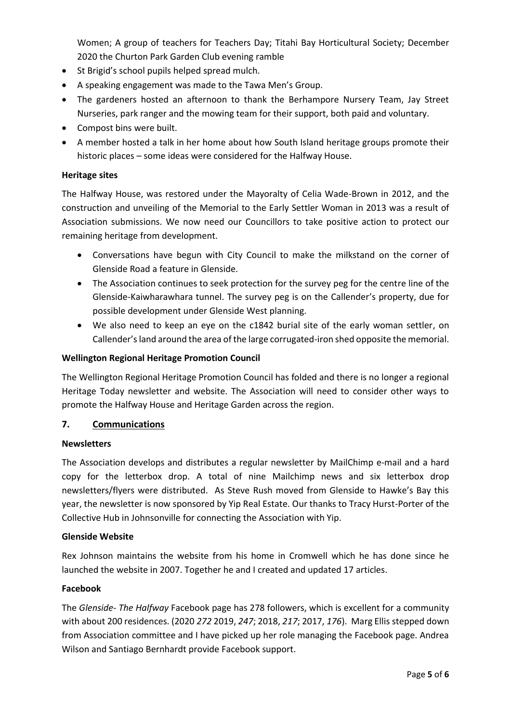Women; A group of teachers for Teachers Day; Titahi Bay Horticultural Society; December 2020 the Churton Park Garden Club evening ramble

- St Brigid's school pupils helped spread mulch.
- A speaking engagement was made to the Tawa Men's Group.
- The gardeners hosted an afternoon to thank the Berhampore Nursery Team, Jay Street Nurseries, park ranger and the mowing team for their support, both paid and voluntary.
- Compost bins were built.
- A member hosted a talk in her home about how South Island heritage groups promote their historic places – some ideas were considered for the Halfway House.

#### **Heritage sites**

The Halfway House, was restored under the Mayoralty of Celia Wade-Brown in 2012, and the construction and unveiling of the Memorial to the Early Settler Woman in 2013 was a result of Association submissions. We now need our Councillors to take positive action to protect our remaining heritage from development.

- Conversations have begun with City Council to make the milkstand on the corner of Glenside Road a feature in Glenside.
- The Association continues to seek protection for the survey peg for the centre line of the Glenside-Kaiwharawhara tunnel. The survey peg is on the Callender's property, due for possible development under Glenside West planning.
- We also need to keep an eye on the c1842 burial site of the early woman settler, on Callender's land around the area of the large corrugated-iron shed opposite the memorial.

#### **Wellington Regional Heritage Promotion Council**

The Wellington Regional Heritage Promotion Council has folded and there is no longer a regional Heritage Today newsletter and website. The Association will need to consider other ways to promote the Halfway House and Heritage Garden across the region.

# **7. Communications**

#### **Newsletters**

The Association develops and distributes a regular newsletter by MailChimp e-mail and a hard copy for the letterbox drop. A total of nine Mailchimp news and six letterbox drop newsletters/flyers were distributed. As Steve Rush moved from Glenside to Hawke's Bay this year, the newsletter is now sponsored by Yip Real Estate. Our thanks to Tracy Hurst-Porter of the Collective Hub in Johnsonville for connecting the Association with Yip.

#### **Glenside Website**

Rex Johnson maintains the website from his home in Cromwell which he has done since he launched the website in 2007. Together he and I created and updated 17 articles.

#### **Facebook**

The *Glenside- The Halfway* Facebook page has 278 followers, which is excellent for a community with about 200 residences. (2020 *272* 2019, *247*; 2018, *217*; 2017, *176*). Marg Ellis stepped down from Association committee and I have picked up her role managing the Facebook page. Andrea Wilson and Santiago Bernhardt provide Facebook support.